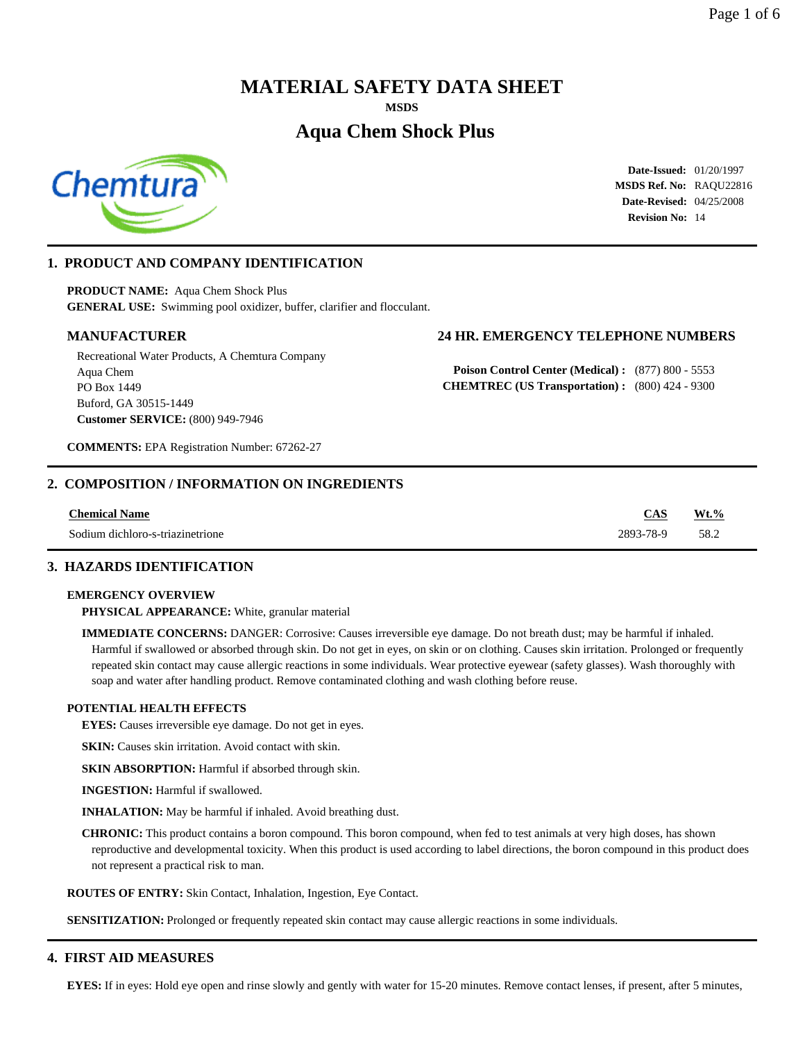# **MATERIAL SAFETY DATA SHEET**

**MSDS**

# **Aqua Chem Shock Plus**



**Date-Issued:** 01/20/1997 **MSDS Ref. No:** RAQU22816 **Date-Revised:** 04/25/2008 **Revision No:** 14

# **1. PRODUCT AND COMPANY IDENTIFICATION**

**PRODUCT NAME:** Aqua Chem Shock Plus **GENERAL USE:** Swimming pool oxidizer, buffer, clarifier and flocculant.

Recreational Water Products, A Chemtura Company Aqua Chem PO Box 1449 Buford, GA 30515-1449 **Customer SERVICE:** (800) 949-7946

# **MANUFACTURER 24 HR. EMERGENCY TELEPHONE NUMBERS**

**Poison Control Center (Medical) :** (877) 800 - 5553 **CHEMTREC (US Transportation) :** (800) 424 - 9300

**COMMENTS:** EPA Registration Number: 67262-27

# **2. COMPOSITION / INFORMATION ON INGREDIENTS**

| <b>Chemical Name</b>             | CAS       | $Wt.\%$ |
|----------------------------------|-----------|---------|
| Sodium dichloro-s-triazinetrione | 2893-78-9 | 58.2    |

### **3. HAZARDS IDENTIFICATION**

#### **EMERGENCY OVERVIEW**

**PHYSICAL APPEARANCE:** White, granular material

**IMMEDIATE CONCERNS:** DANGER: Corrosive: Causes irreversible eye damage. Do not breath dust; may be harmful if inhaled. Harmful if swallowed or absorbed through skin. Do not get in eyes, on skin or on clothing. Causes skin irritation. Prolonged or frequently repeated skin contact may cause allergic reactions in some individuals. Wear protective eyewear (safety glasses). Wash thoroughly with soap and water after handling product. Remove contaminated clothing and wash clothing before reuse.

#### **POTENTIAL HEALTH EFFECTS**

**EYES:** Causes irreversible eye damage. Do not get in eyes.

**SKIN:** Causes skin irritation. Avoid contact with skin.

**SKIN ABSORPTION:** Harmful if absorbed through skin.

**INGESTION:** Harmful if swallowed.

**INHALATION:** May be harmful if inhaled. Avoid breathing dust.

**CHRONIC:** This product contains a boron compound. This boron compound, when fed to test animals at very high doses, has shown reproductive and developmental toxicity. When this product is used according to label directions, the boron compound in this product does not represent a practical risk to man.

**ROUTES OF ENTRY:** Skin Contact, Inhalation, Ingestion, Eye Contact.

**SENSITIZATION:** Prolonged or frequently repeated skin contact may cause allergic reactions in some individuals.

# **4. FIRST AID MEASURES**

**EYES:** If in eyes: Hold eye open and rinse slowly and gently with water for 15-20 minutes. Remove contact lenses, if present, after 5 minutes,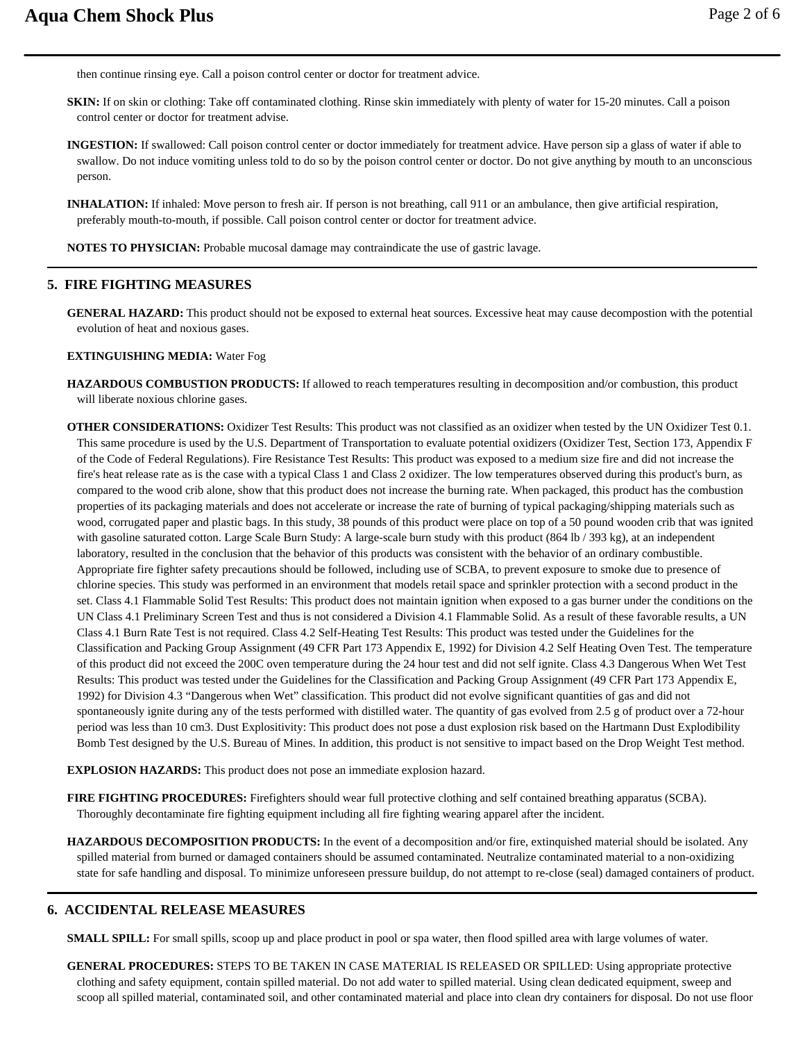then continue rinsing eye. Call a poison control center or doctor for treatment advice.

**SKIN:** If on skin or clothing: Take off contaminated clothing. Rinse skin immediately with plenty of water for 15-20 minutes. Call a poison control center or doctor for treatment advise.

**INGESTION:** If swallowed: Call poison control center or doctor immediately for treatment advice. Have person sip a glass of water if able to swallow. Do not induce vomiting unless told to do so by the poison control center or doctor. Do not give anything by mouth to an unconscious person.

**INHALATION:** If inhaled: Move person to fresh air. If person is not breathing, call 911 or an ambulance, then give artificial respiration, preferably mouth-to-mouth, if possible. Call poison control center or doctor for treatment advice.

**NOTES TO PHYSICIAN:** Probable mucosal damage may contraindicate the use of gastric lavage.

# **5. FIRE FIGHTING MEASURES**

**GENERAL HAZARD:** This product should not be exposed to external heat sources. Excessive heat may cause decompostion with the potential evolution of heat and noxious gases.

# **EXTINGUISHING MEDIA:** Water Fog

- **HAZARDOUS COMBUSTION PRODUCTS:** If allowed to reach temperatures resulting in decomposition and/or combustion, this product will liberate noxious chlorine gases.
- **OTHER CONSIDERATIONS:** Oxidizer Test Results: This product was not classified as an oxidizer when tested by the UN Oxidizer Test 0.1. This same procedure is used by the U.S. Department of Transportation to evaluate potential oxidizers (Oxidizer Test, Section 173, Appendix F of the Code of Federal Regulations). Fire Resistance Test Results: This product was exposed to a medium size fire and did not increase the fire's heat release rate as is the case with a typical Class 1 and Class 2 oxidizer. The low temperatures observed during this product's burn, as compared to the wood crib alone, show that this product does not increase the burning rate. When packaged, this product has the combustion properties of its packaging materials and does not accelerate or increase the rate of burning of typical packaging/shipping materials such as wood, corrugated paper and plastic bags. In this study, 38 pounds of this product were place on top of a 50 pound wooden crib that was ignited with gasoline saturated cotton. Large Scale Burn Study: A large-scale burn study with this product (864 lb / 393 kg), at an independent laboratory, resulted in the conclusion that the behavior of this products was consistent with the behavior of an ordinary combustible. Appropriate fire fighter safety precautions should be followed, including use of SCBA, to prevent exposure to smoke due to presence of chlorine species. This study was performed in an environment that models retail space and sprinkler protection with a second product in the set. Class 4.1 Flammable Solid Test Results: This product does not maintain ignition when exposed to a gas burner under the conditions on the UN Class 4.1 Preliminary Screen Test and thus is not considered a Division 4.1 Flammable Solid. As a result of these favorable results, a UN Class 4.1 Burn Rate Test is not required. Class 4.2 Self-Heating Test Results: This product was tested under the Guidelines for the Classification and Packing Group Assignment (49 CFR Part 173 Appendix E, 1992) for Division 4.2 Self Heating Oven Test. The temperature of this product did not exceed the 200C oven temperature during the 24 hour test and did not self ignite. Class 4.3 Dangerous When Wet Test Results: This product was tested under the Guidelines for the Classification and Packing Group Assignment (49 CFR Part 173 Appendix E, 1992) for Division 4.3 "Dangerous when Wet" classification. This product did not evolve significant quantities of gas and did not spontaneously ignite during any of the tests performed with distilled water. The quantity of gas evolved from 2.5 g of product over a 72-hour period was less than 10 cm3. Dust Explositivity: This product does not pose a dust explosion risk based on the Hartmann Dust Explodibility Bomb Test designed by the U.S. Bureau of Mines. In addition, this product is not sensitive to impact based on the Drop Weight Test method.

**EXPLOSION HAZARDS:** This product does not pose an immediate explosion hazard.

**FIRE FIGHTING PROCEDURES:** Firefighters should wear full protective clothing and self contained breathing apparatus (SCBA). Thoroughly decontaminate fire fighting equipment including all fire fighting wearing apparel after the incident.

**HAZARDOUS DECOMPOSITION PRODUCTS:** In the event of a decomposition and/or fire, extinquished material should be isolated. Any spilled material from burned or damaged containers should be assumed contaminated. Neutralize contaminated material to a non-oxidizing state for safe handling and disposal. To minimize unforeseen pressure buildup, do not attempt to re-close (seal) damaged containers of product.

# **6. ACCIDENTAL RELEASE MEASURES**

**SMALL SPILL:** For small spills, scoop up and place product in pool or spa water, then flood spilled area with large volumes of water.

**GENERAL PROCEDURES:** STEPS TO BE TAKEN IN CASE MATERIAL IS RELEASED OR SPILLED: Using appropriate protective clothing and safety equipment, contain spilled material. Do not add water to spilled material. Using clean dedicated equipment, sweep and scoop all spilled material, contaminated soil, and other contaminated material and place into clean dry containers for disposal. Do not use floor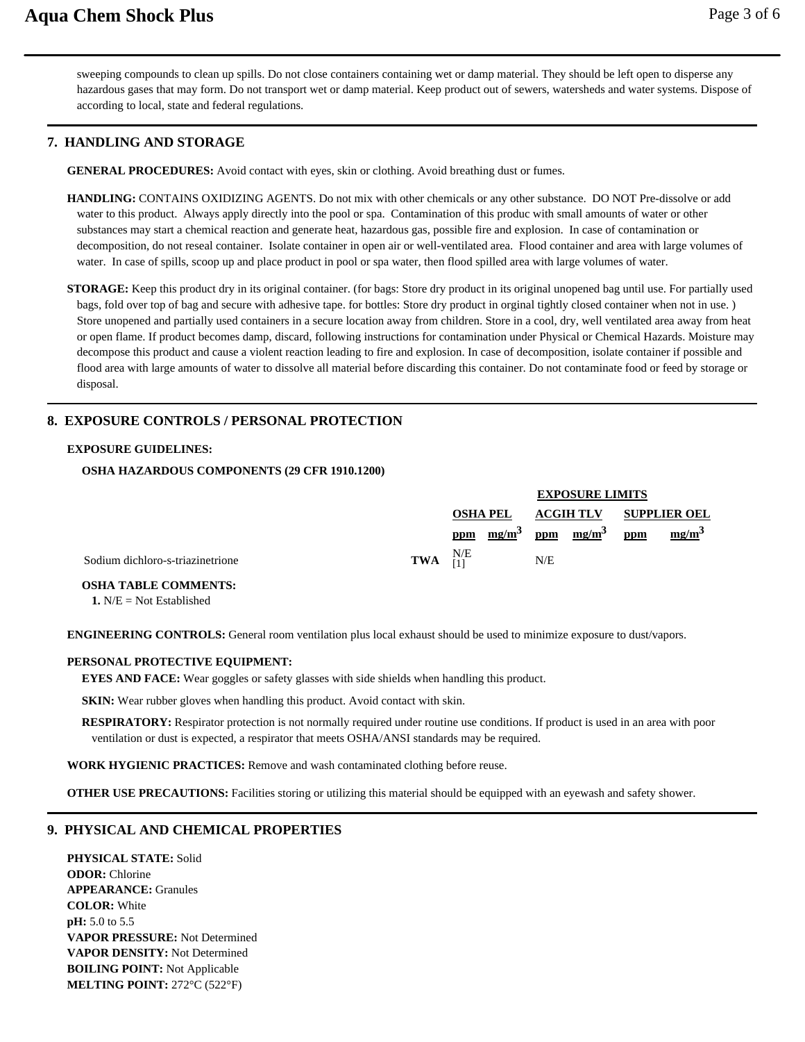sweeping compounds to clean up spills. Do not close containers containing wet or damp material. They should be left open to disperse any hazardous gases that may form. Do not transport wet or damp material. Keep product out of sewers, watersheds and water systems. Dispose of according to local, state and federal regulations.

# **7. HANDLING AND STORAGE**

**GENERAL PROCEDURES:** Avoid contact with eyes, skin or clothing. Avoid breathing dust or fumes.

**HANDLING:** CONTAINS OXIDIZING AGENTS. Do not mix with other chemicals or any other substance. DO NOT Pre-dissolve or add water to this product. Always apply directly into the pool or spa. Contamination of this produc with small amounts of water or other substances may start a chemical reaction and generate heat, hazardous gas, possible fire and explosion. In case of contamination or decomposition, do not reseal container. Isolate container in open air or well-ventilated area. Flood container and area with large volumes of water. In case of spills, scoop up and place product in pool or spa water, then flood spilled area with large volumes of water.

**STORAGE:** Keep this product dry in its original container. (for bags: Store dry product in its original unopened bag until use. For partially used bags, fold over top of bag and secure with adhesive tape. for bottles: Store dry product in orginal tightly closed container when not in use. ) Store unopened and partially used containers in a secure location away from children. Store in a cool, dry, well ventilated area away from heat or open flame. If product becomes damp, discard, following instructions for contamination under Physical or Chemical Hazards. Moisture may decompose this product and cause a violent reaction leading to fire and explosion. In case of decomposition, isolate container if possible and flood area with large amounts of water to dissolve all material before discarding this container. Do not contaminate food or feed by storage or disposal.

# **8. EXPOSURE CONTROLS / PERSONAL PROTECTION**

#### **EXPOSURE GUIDELINES:**

#### **OSHA HAZARDOUS COMPONENTS (29 CFR 1910.1200)**

|                                  |                          |                 |  | <b>EXPOSURE LIMITS</b> |                           |                               |          |
|----------------------------------|--------------------------|-----------------|--|------------------------|---------------------------|-------------------------------|----------|
|                                  |                          | <b>OSHA PEL</b> |  |                        |                           | <b>ACGIH TLV SUPPLIER OEL</b> |          |
|                                  |                          | ppm             |  |                        | $mg/m^3$ ppm $mg/m^3$ ppm |                               | $mg/m^3$ |
| Sodium dichloro-s-triazinetrione | <b>TWA</b> $_{11}^{N/E}$ |                 |  | N/E                    |                           |                               |          |

## **OSHA TABLE COMMENTS:**

**1.** N/E = Not Established

**ENGINEERING CONTROLS:** General room ventilation plus local exhaust should be used to minimize exposure to dust/vapors.

#### **PERSONAL PROTECTIVE EQUIPMENT:**

**EYES AND FACE:** Wear goggles or safety glasses with side shields when handling this product.

**SKIN:** Wear rubber gloves when handling this product. Avoid contact with skin.

**RESPIRATORY:** Respirator protection is not normally required under routine use conditions. If product is used in an area with poor ventilation or dust is expected, a respirator that meets OSHA/ANSI standards may be required.

**WORK HYGIENIC PRACTICES:** Remove and wash contaminated clothing before reuse.

**OTHER USE PRECAUTIONS:** Facilities storing or utilizing this material should be equipped with an eyewash and safety shower.

# **9. PHYSICAL AND CHEMICAL PROPERTIES**

**PHYSICAL STATE:** Solid **ODOR:** Chlorine **APPEARANCE:** Granules **COLOR:** White **pH:** 5.0 to 5.5 **VAPOR PRESSURE:** Not Determined **VAPOR DENSITY:** Not Determined **BOILING POINT:** Not Applicable **MELTING POINT:** 272°C (522°F)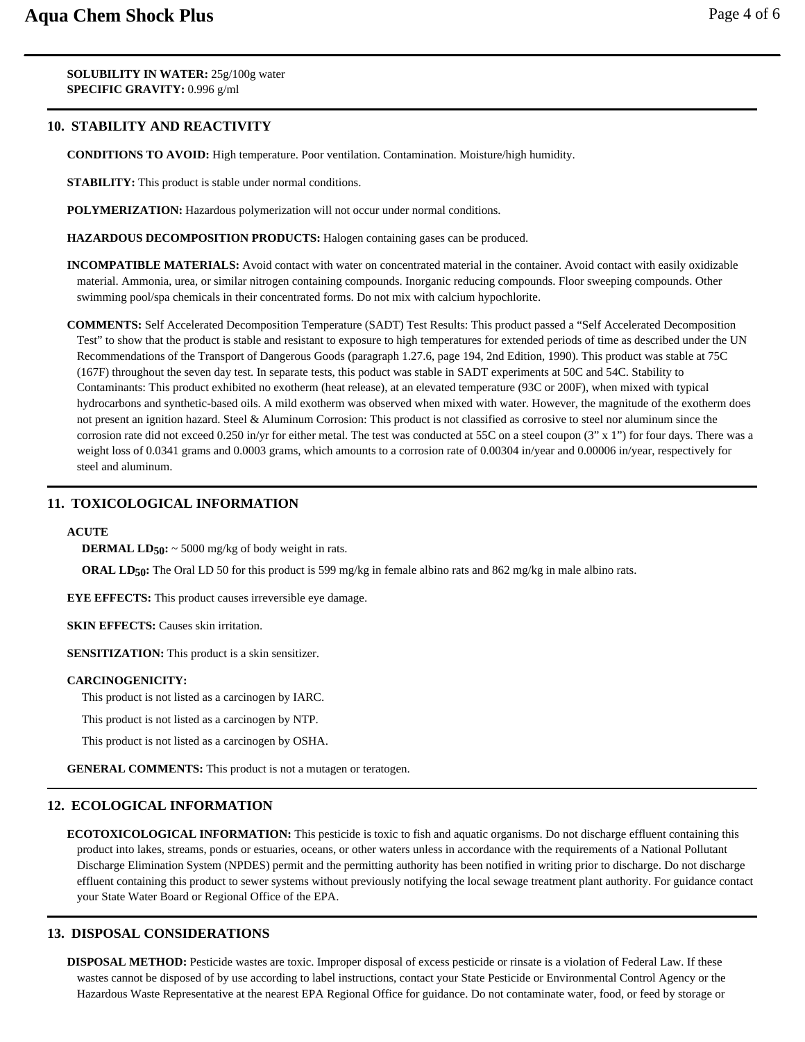**SOLUBILITY IN WATER:** 25g/100g water **SPECIFIC GRAVITY:** 0.996 g/ml

# **10. STABILITY AND REACTIVITY**

**CONDITIONS TO AVOID:** High temperature. Poor ventilation. Contamination. Moisture/high humidity.

**STABILITY:** This product is stable under normal conditions.

**POLYMERIZATION:** Hazardous polymerization will not occur under normal conditions.

**HAZARDOUS DECOMPOSITION PRODUCTS:** Halogen containing gases can be produced.

**INCOMPATIBLE MATERIALS:** Avoid contact with water on concentrated material in the container. Avoid contact with easily oxidizable material. Ammonia, urea, or similar nitrogen containing compounds. Inorganic reducing compounds. Floor sweeping compounds. Other swimming pool/spa chemicals in their concentrated forms. Do not mix with calcium hypochlorite.

**COMMENTS:** Self Accelerated Decomposition Temperature (SADT) Test Results: This product passed a "Self Accelerated Decomposition Test" to show that the product is stable and resistant to exposure to high temperatures for extended periods of time as described under the UN Recommendations of the Transport of Dangerous Goods (paragraph 1.27.6, page 194, 2nd Edition, 1990). This product was stable at 75C (167F) throughout the seven day test. In separate tests, this poduct was stable in SADT experiments at 50C and 54C. Stability to Contaminants: This product exhibited no exotherm (heat release), at an elevated temperature (93C or 200F), when mixed with typical hydrocarbons and synthetic-based oils. A mild exotherm was observed when mixed with water. However, the magnitude of the exotherm does not present an ignition hazard. Steel & Aluminum Corrosion: This product is not classified as corrosive to steel nor aluminum since the corrosion rate did not exceed 0.250 in/yr for either metal. The test was conducted at 55C on a steel coupon (3" x 1") for four days. There was a weight loss of 0.0341 grams and 0.0003 grams, which amounts to a corrosion rate of 0.00304 in/year and 0.00006 in/year, respectively for steel and aluminum.

# **11. TOXICOLOGICAL INFORMATION**

#### **ACUTE**

**DERMAL LD50:** ~ 5000 mg/kg of body weight in rats.

**ORAL LD50:** The Oral LD 50 for this product is 599 mg/kg in female albino rats and 862 mg/kg in male albino rats.

**EYE EFFECTS:** This product causes irreversible eye damage.

**SKIN EFFECTS:** Causes skin irritation.

**SENSITIZATION:** This product is a skin sensitizer.

#### **CARCINOGENICITY:**

This product is not listed as a carcinogen by IARC.

This product is not listed as a carcinogen by NTP.

This product is not listed as a carcinogen by OSHA.

**GENERAL COMMENTS:** This product is not a mutagen or teratogen.

# **12. ECOLOGICAL INFORMATION**

**ECOTOXICOLOGICAL INFORMATION:** This pesticide is toxic to fish and aquatic organisms. Do not discharge effluent containing this product into lakes, streams, ponds or estuaries, oceans, or other waters unless in accordance with the requirements of a National Pollutant Discharge Elimination System (NPDES) permit and the permitting authority has been notified in writing prior to discharge. Do not discharge effluent containing this product to sewer systems without previously notifying the local sewage treatment plant authority. For guidance contact your State Water Board or Regional Office of the EPA.

# **13. DISPOSAL CONSIDERATIONS**

**DISPOSAL METHOD:** Pesticide wastes are toxic. Improper disposal of excess pesticide or rinsate is a violation of Federal Law. If these wastes cannot be disposed of by use according to label instructions, contact your State Pesticide or Environmental Control Agency or the Hazardous Waste Representative at the nearest EPA Regional Office for guidance. Do not contaminate water, food, or feed by storage or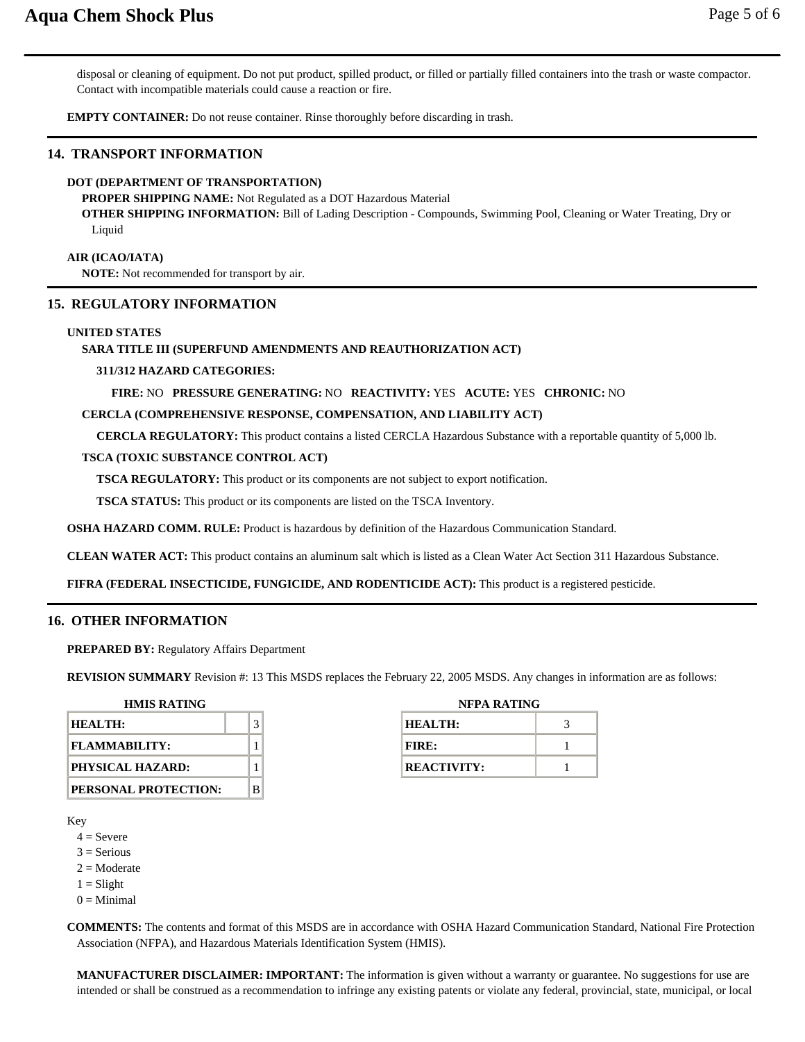disposal or cleaning of equipment. Do not put product, spilled product, or filled or partially filled containers into the trash or waste compactor. Contact with incompatible materials could cause a reaction or fire.

**EMPTY CONTAINER:** Do not reuse container. Rinse thoroughly before discarding in trash.

# **14. TRANSPORT INFORMATION**

#### **DOT (DEPARTMENT OF TRANSPORTATION)**

**PROPER SHIPPING NAME:** Not Regulated as a DOT Hazardous Material

**OTHER SHIPPING INFORMATION:** Bill of Lading Description - Compounds, Swimming Pool, Cleaning or Water Treating, Dry or Liquid

**AIR (ICAO/IATA)**

**NOTE:** Not recommended for transport by air.

#### **15. REGULATORY INFORMATION**

#### **UNITED STATES**

#### **SARA TITLE III (SUPERFUND AMENDMENTS AND REAUTHORIZATION ACT)**

#### **311/312 HAZARD CATEGORIES:**

**FIRE:** NO **PRESSURE GENERATING:** NO **REACTIVITY:** YES **ACUTE:** YES **CHRONIC:** NO

#### **CERCLA (COMPREHENSIVE RESPONSE, COMPENSATION, AND LIABILITY ACT)**

**CERCLA REGULATORY:** This product contains a listed CERCLA Hazardous Substance with a reportable quantity of 5,000 lb.

#### **TSCA (TOXIC SUBSTANCE CONTROL ACT)**

**TSCA REGULATORY:** This product or its components are not subject to export notification.

**TSCA STATUS:** This product or its components are listed on the TSCA Inventory.

**OSHA HAZARD COMM. RULE:** Product is hazardous by definition of the Hazardous Communication Standard.

**CLEAN WATER ACT:** This product contains an aluminum salt which is listed as a Clean Water Act Section 311 Hazardous Substance.

**FIFRA (FEDERAL INSECTICIDE, FUNGICIDE, AND RODENTICIDE ACT):** This product is a registered pesticide.

#### **16. OTHER INFORMATION**

**PREPARED BY:** Regulatory Affairs Department

**REVISION SUMMARY** Revision #: 13 This MSDS replaces the February 22, 2005 MSDS. Any changes in information are as follows:

| <b>HMIS RATING</b>   |  |   |  |  |
|----------------------|--|---|--|--|
| HEALTH:              |  |   |  |  |
| <b>FLAMMABILITY:</b> |  |   |  |  |
| PHYSICAL HAZARD:     |  |   |  |  |
| PERSONAL PROTECTION: |  | R |  |  |

| NFPA RATING        |  |  |  |  |
|--------------------|--|--|--|--|
| HEALTH:            |  |  |  |  |
| FIRE:              |  |  |  |  |
| <b>REACTIVITY:</b> |  |  |  |  |

Key

- $4 =$  Severe
- $3$  = Serious
- $2 = \text{Modern}$
- $1 =$ Slight
- $0 =$ Minimal

**COMMENTS:** The contents and format of this MSDS are in accordance with OSHA Hazard Communication Standard, National Fire Protection Association (NFPA), and Hazardous Materials Identification System (HMIS).

**MANUFACTURER DISCLAIMER: IMPORTANT:** The information is given without a warranty or guarantee. No suggestions for use are intended or shall be construed as a recommendation to infringe any existing patents or violate any federal, provincial, state, municipal, or local